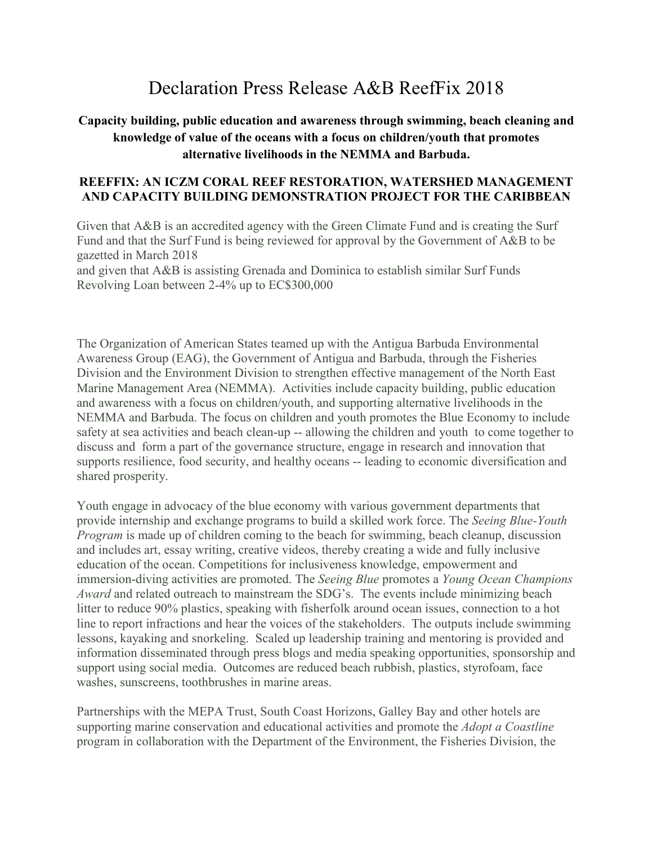#### Declaration Press Release A&B ReefFix 2018

#### **Capacity building, public education and awareness through swimming, beach cleaning and knowledge of value of the oceans with a focus on children/youth that promotes alternative livelihoods in the NEMMA and Barbuda.**

#### **REEFFIX: AN ICZM CORAL REEF RESTORATION, WATERSHED MANAGEMENT AND CAPACITY BUILDING DEMONSTRATION PROJECT FOR THE CARIBBEAN**

Given that A&B is an accredited agency with the Green Climate Fund and is creating the Surf Fund and that the Surf Fund is being reviewed for approval by the Government of A&B to be gazetted in March 2018

and given that A&B is assisting Grenada and Dominica to establish similar Surf Funds Revolving Loan between 2-4% up to EC\$300,000

The Organization of American States teamed up with the Antigua Barbuda Environmental Awareness Group (EAG), the Government of Antigua and Barbuda, through the Fisheries Division and the Environment Division to strengthen effective management of the North East Marine Management Area (NEMMA). Activities include capacity building, public education and awareness with a focus on children/youth, and supporting alternative livelihoods in the NEMMA and Barbuda. The focus on children and youth promotes the Blue Economy to include safety at sea activities and beach clean-up -- allowing the children and youth to come together to discuss and form a part of the governance structure, engage in research and innovation that supports resilience, food security, and healthy oceans -- leading to economic diversification and shared prosperity.

Youth engage in advocacy of the blue economy with various government departments that provide internship and exchange programs to build a skilled work force. The *Seeing Blue-Youth Program* is made up of children coming to the beach for swimming, beach cleanup, discussion and includes art, essay writing, creative videos, thereby creating a wide and fully inclusive education of the ocean. Competitions for inclusiveness knowledge, empowerment and immersion-diving activities are promoted. The *Seeing Blue* promotes a *Young Ocean Champions Award* and related outreach to mainstream the SDG's. The events include minimizing beach litter to reduce 90% plastics, speaking with fisherfolk around ocean issues, connection to a hot line to report infractions and hear the voices of the stakeholders. The outputs include swimming lessons, kayaking and snorkeling. Scaled up leadership training and mentoring is provided and information disseminated through press blogs and media speaking opportunities, sponsorship and support using social media. Outcomes are reduced beach rubbish, plastics, styrofoam, face washes, sunscreens, toothbrushes in marine areas.

Partnerships with the MEPA Trust, South Coast Horizons, Galley Bay and other hotels are supporting marine conservation and educational activities and promote the *Adopt a Coastline* program in collaboration with the Department of the Environment, the Fisheries Division, the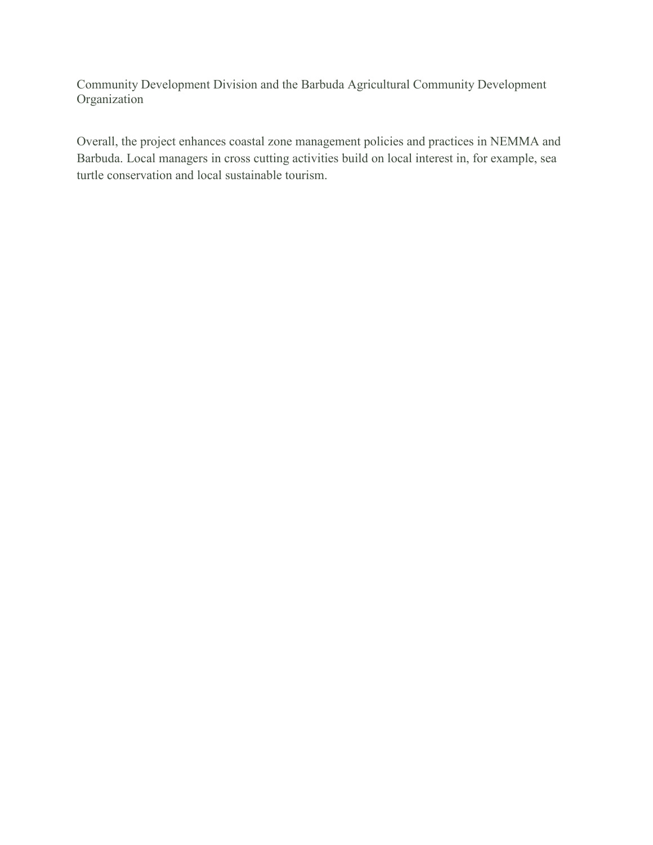Community Development Division and the Barbuda Agricultural Community Development Organization

Overall, the project enhances coastal zone management policies and practices in NEMMA and Barbuda. Local managers in cross cutting activities build on local interest in, for example, sea turtle conservation and local sustainable tourism.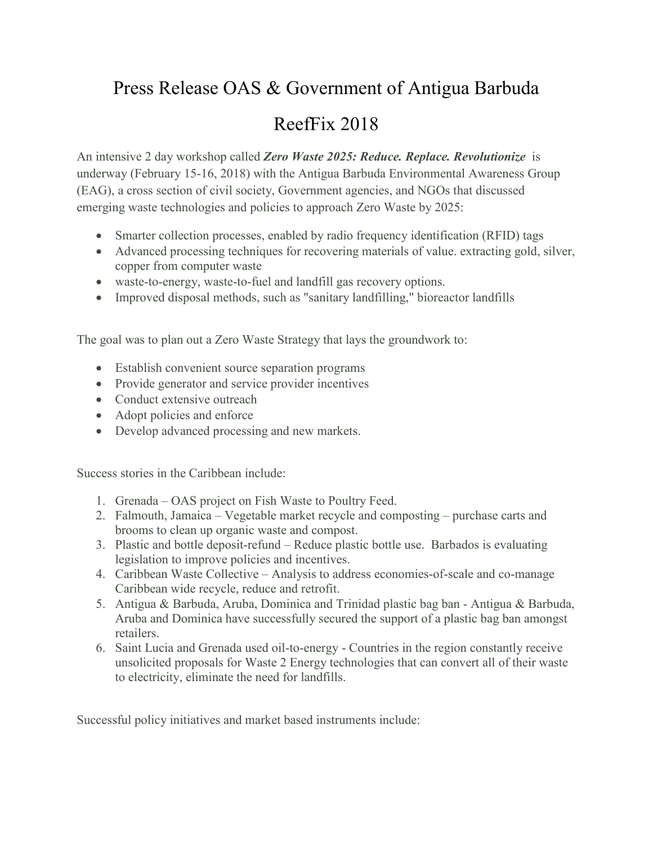# Press Release OAS & Government of Antigua Barbuda

### ReefFix 2018

An intensive 2 day workshop called *Zero Waste 2025: Reduce. Replace. Revolutionize* is underway (February 15-16, 2018) with the Antigua Barbuda Environmental Awareness Group (EAG), a cross section of civil society, Government agencies, and NGOs that discussed emerging waste technologies and policies to approach Zero Waste by 2025:

- Smarter collection processes, enabled by radio frequency identification (RFID) tags
- Advanced processing techniques for recovering materials of value. extracting gold, silver, copper from computer waste
- waste-to-energy, waste-to-fuel and landfill gas recovery options.
- Improved disposal methods, such as "sanitary landfilling," bioreactor landfills

The goal was to plan out a Zero Waste Strategy that lays the groundwork to:

- Establish convenient source separation programs
- Provide generator and service provider incentives
- Conduct extensive outreach
- Adopt policies and enforce
- Develop advanced processing and new markets.

Success stories in the Caribbean include:

- 1. Grenada OAS project on Fish Waste to Poultry Feed.
- 2. Falmouth, Jamaica Vegetable market recycle and composting purchase carts and brooms to clean up organic waste and compost.
- 3. Plastic and bottle deposit-refund Reduce plastic bottle use. Barbados is evaluating legislation to improve policies and incentives.
- 4. Caribbean Waste Collective Analysis to address economies-of-scale and co-manage Caribbean wide recycle, reduce and retrofit.
- 5. Antigua & Barbuda, Aruba, Dominica and Trinidad plastic bag ban Antigua & Barbuda, Aruba and Dominica have successfully secured the support of a plastic bag ban amongst retailers.
- 6. Saint Lucia and Grenada used oil-to-energy Countries in the region constantly receive unsolicited proposals for Waste 2 Energy technologies that can convert all of their waste to electricity, eliminate the need for landfills.

Successful policy initiatives and market based instruments include: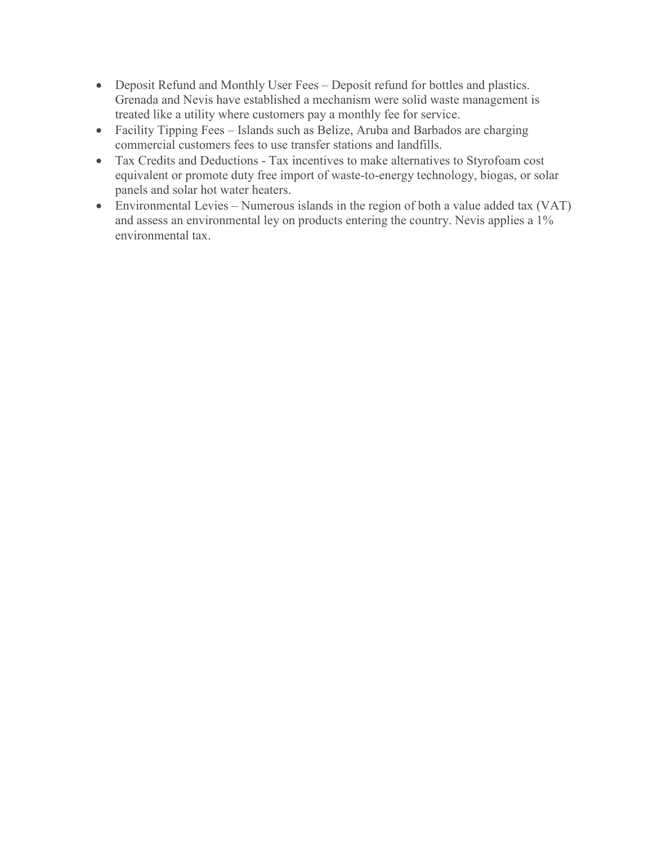- Deposit Refund and Monthly User Fees Deposit refund for bottles and plastics. Grenada and Nevis have established a mechanism were solid waste management is treated like a utility where customers pay a monthly fee for service.
- Facility Tipping Fees Islands such as Belize, Aruba and Barbados are charging commercial customers fees to use transfer stations and landfills.
- Tax Credits and Deductions Tax incentives to make alternatives to Styrofoam cost equivalent or promote duty free import of waste-to-energy technology, biogas, or solar panels and solar hot water heaters.
- Environmental Levies Numerous islands in the region of both a value added tax (VAT) and assess an environmental ley on products entering the country. Nevis applies a 1% environmental tax.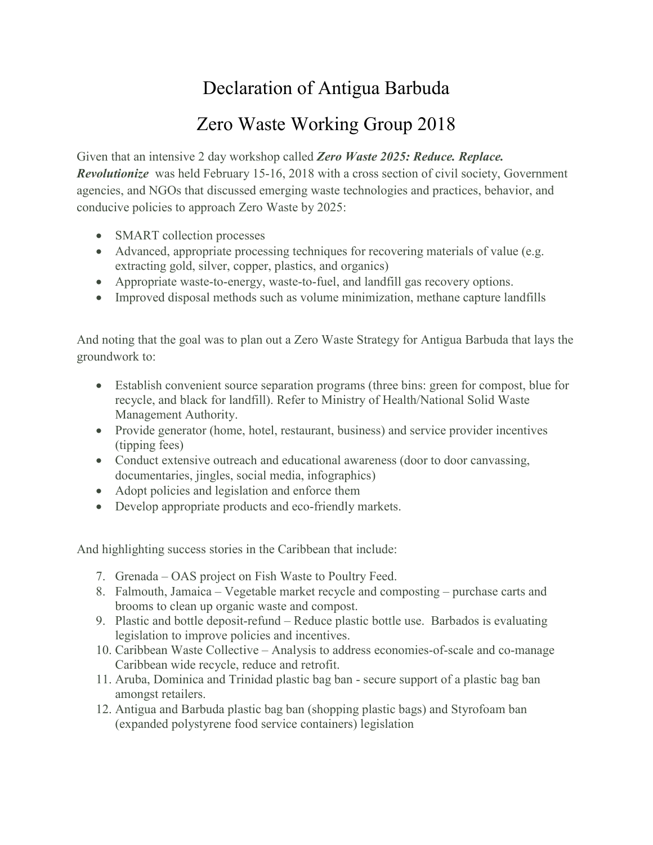# Declaration of Antigua Barbuda

### Zero Waste Working Group 2018

Given that an intensive 2 day workshop called *Zero Waste 2025: Reduce. Replace. Revolutionize* was held February 15-16, 2018 with a cross section of civil society, Government agencies, and NGOs that discussed emerging waste technologies and practices, behavior, and conducive policies to approach Zero Waste by 2025:

- SMART collection processes
- Advanced, appropriate processing techniques for recovering materials of value (e.g. extracting gold, silver, copper, plastics, and organics)
- Appropriate waste-to-energy, waste-to-fuel, and landfill gas recovery options.
- Improved disposal methods such as volume minimization, methane capture landfills

And noting that the goal was to plan out a Zero Waste Strategy for Antigua Barbuda that lays the groundwork to:

- Establish convenient source separation programs (three bins: green for compost, blue for recycle, and black for landfill). Refer to Ministry of Health/National Solid Waste Management Authority.
- Provide generator (home, hotel, restaurant, business) and service provider incentives (tipping fees)
- Conduct extensive outreach and educational awareness (door to door canvassing, documentaries, jingles, social media, infographics)
- Adopt policies and legislation and enforce them
- Develop appropriate products and eco-friendly markets.

And highlighting success stories in the Caribbean that include:

- 7. Grenada OAS project on Fish Waste to Poultry Feed.
- 8. Falmouth, Jamaica Vegetable market recycle and composting purchase carts and brooms to clean up organic waste and compost.
- 9. Plastic and bottle deposit-refund Reduce plastic bottle use. Barbados is evaluating legislation to improve policies and incentives.
- 10. Caribbean Waste Collective Analysis to address economies-of-scale and co-manage Caribbean wide recycle, reduce and retrofit.
- 11. Aruba, Dominica and Trinidad plastic bag ban secure support of a plastic bag ban amongst retailers.
- 12. Antigua and Barbuda plastic bag ban (shopping plastic bags) and Styrofoam ban (expanded polystyrene food service containers) legislation